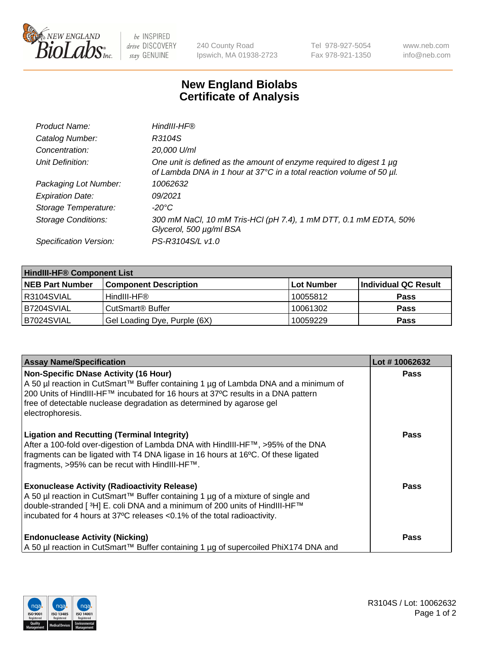

be INSPIRED drive DISCOVERY stay GENUINE

240 County Road Ipswich, MA 01938-2723 Tel 978-927-5054 Fax 978-921-1350 www.neb.com info@neb.com

## **New England Biolabs Certificate of Analysis**

| Product Name:              | HindIII-HF®                                                                                                                                 |
|----------------------------|---------------------------------------------------------------------------------------------------------------------------------------------|
| Catalog Number:            | R3104S                                                                                                                                      |
| Concentration:             | 20,000 U/ml                                                                                                                                 |
| Unit Definition:           | One unit is defined as the amount of enzyme required to digest 1 µg<br>of Lambda DNA in 1 hour at 37°C in a total reaction volume of 50 µl. |
| Packaging Lot Number:      | 10062632                                                                                                                                    |
| <b>Expiration Date:</b>    | 09/2021                                                                                                                                     |
| Storage Temperature:       | $-20^{\circ}$ C                                                                                                                             |
| <b>Storage Conditions:</b> | 300 mM NaCl, 10 mM Tris-HCl (pH 7.4), 1 mM DTT, 0.1 mM EDTA, 50%<br>Glycerol, 500 µg/ml BSA                                                 |
| Specification Version:     | PS-R3104S/L v1.0                                                                                                                            |

| <b>HindIII-HF® Component List</b> |                                    |                   |                      |  |  |
|-----------------------------------|------------------------------------|-------------------|----------------------|--|--|
| <b>NEB Part Number</b>            | <b>Component Description</b>       | <b>Lot Number</b> | Individual QC Result |  |  |
| R3104SVIAL                        | HindIII-HF®                        | 10055812          | <b>Pass</b>          |  |  |
| B7204SVIAL                        | <b>CutSmart<sup>®</sup> Buffer</b> | 10061302          | <b>Pass</b>          |  |  |
| B7024SVIAL                        | Gel Loading Dye, Purple (6X)       | 10059229          | <b>Pass</b>          |  |  |

| <b>Assay Name/Specification</b>                                                                                                                                                                                                                                                                                     | Lot #10062632 |
|---------------------------------------------------------------------------------------------------------------------------------------------------------------------------------------------------------------------------------------------------------------------------------------------------------------------|---------------|
| <b>Non-Specific DNase Activity (16 Hour)</b><br>A 50 µl reaction in CutSmart™ Buffer containing 1 µg of Lambda DNA and a minimum of<br>200 Units of HindIII-HF™ incubated for 16 hours at 37°C results in a DNA pattern<br>free of detectable nuclease degradation as determined by agarose gel<br>electrophoresis. | <b>Pass</b>   |
| <b>Ligation and Recutting (Terminal Integrity)</b><br>After a 100-fold over-digestion of Lambda DNA with HindIII-HF™, >95% of the DNA<br>fragments can be ligated with T4 DNA ligase in 16 hours at 16°C. Of these ligated<br>fragments, >95% can be recut with HindIII-HF™.                                        | Pass          |
| <b>Exonuclease Activity (Radioactivity Release)</b><br>A 50 µl reaction in CutSmart™ Buffer containing 1 µg of a mixture of single and<br>double-stranded [3H] E. coli DNA and a minimum of 200 units of HindIII-HF™<br>incubated for 4 hours at 37°C releases <0.1% of the total radioactivity.                    | Pass          |
| <b>Endonuclease Activity (Nicking)</b><br>A 50 µl reaction in CutSmart™ Buffer containing 1 µg of supercoiled PhiX174 DNA and                                                                                                                                                                                       | Pass          |